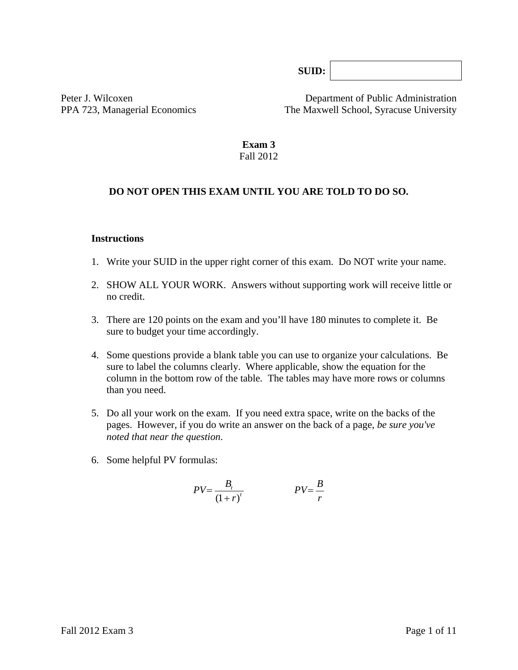**SUID:**

Peter J. Wilcoxen Department of Public Administration PPA 723, Managerial Economics The Maxwell School, Syracuse University

#### **Exam 3**  Fall 2012

#### **DO NOT OPEN THIS EXAM UNTIL YOU ARE TOLD TO DO SO.**

#### **Instructions**

- 1. Write your SUID in the upper right corner of this exam. Do NOT write your name.
- 2. SHOW ALL YOUR WORK. Answers without supporting work will receive little or no credit.
- 3. There are 120 points on the exam and you'll have 180 minutes to complete it. Be sure to budget your time accordingly.
- 4. Some questions provide a blank table you can use to organize your calculations. Be sure to label the columns clearly. Where applicable, show the equation for the column in the bottom row of the table*.* The tables may have more rows or columns than you need.
- 5. Do all your work on the exam. If you need extra space, write on the backs of the pages. However, if you do write an answer on the back of a page, *be sure you've noted that near the question*.
- 6. Some helpful PV formulas:

$$
PV = \frac{B_t}{(1+r)^t}
$$
 
$$
PV = \frac{B}{r}
$$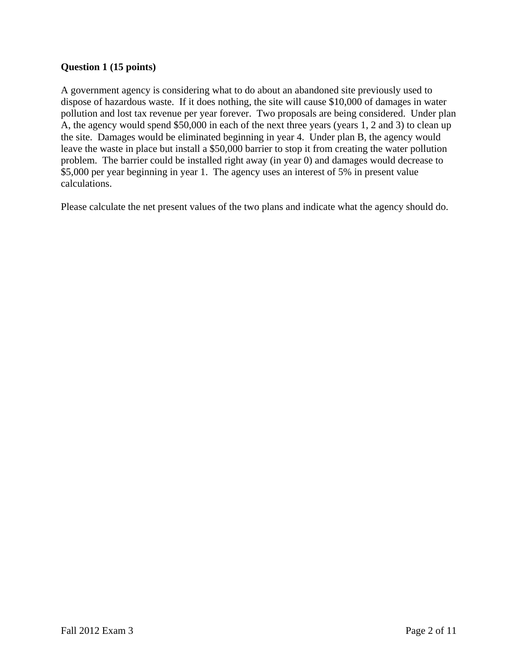# **Question 1 (15 points)**

A government agency is considering what to do about an abandoned site previously used to dispose of hazardous waste. If it does nothing, the site will cause \$10,000 of damages in water pollution and lost tax revenue per year forever. Two proposals are being considered. Under plan A, the agency would spend \$50,000 in each of the next three years (years 1, 2 and 3) to clean up the site. Damages would be eliminated beginning in year 4. Under plan B, the agency would leave the waste in place but install a \$50,000 barrier to stop it from creating the water pollution problem. The barrier could be installed right away (in year 0) and damages would decrease to \$5,000 per year beginning in year 1. The agency uses an interest of 5% in present value calculations.

Please calculate the net present values of the two plans and indicate what the agency should do.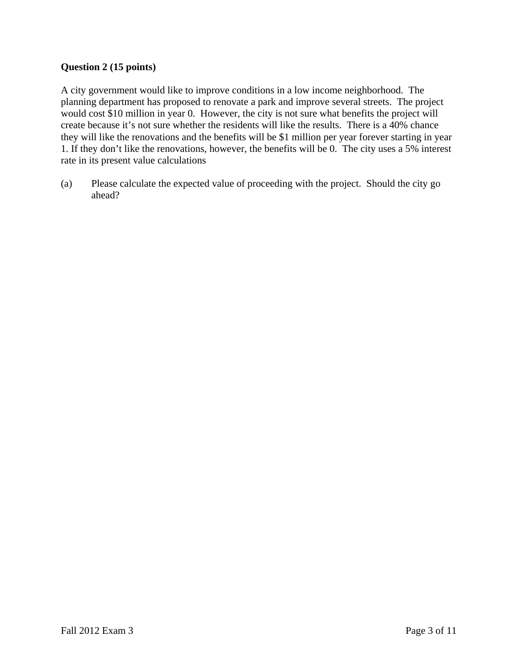# **Question 2 (15 points)**

A city government would like to improve conditions in a low income neighborhood. The planning department has proposed to renovate a park and improve several streets. The project would cost \$10 million in year 0. However, the city is not sure what benefits the project will create because it's not sure whether the residents will like the results. There is a 40% chance they will like the renovations and the benefits will be \$1 million per year forever starting in year 1. If they don't like the renovations, however, the benefits will be 0. The city uses a 5% interest rate in its present value calculations

(a) Please calculate the expected value of proceeding with the project. Should the city go ahead?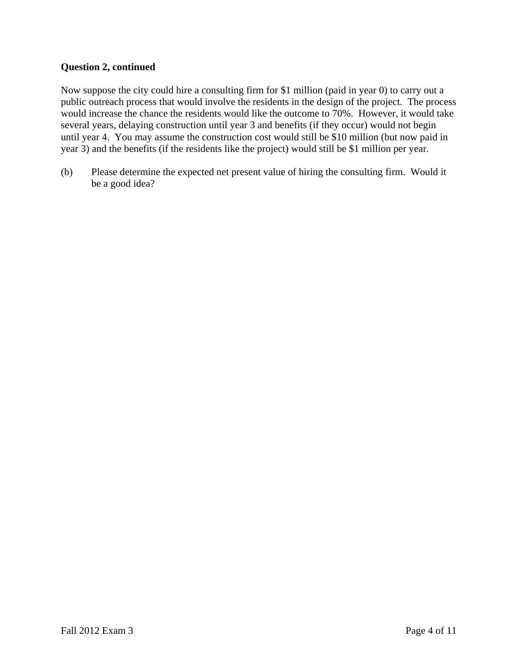#### **Question 2, continued**

Now suppose the city could hire a consulting firm for \$1 million (paid in year 0) to carry out a public outreach process that would involve the residents in the design of the project. The process would increase the chance the residents would like the outcome to 70%. However, it would take several years, delaying construction until year 3 and benefits (if they occur) would not begin until year 4. You may assume the construction cost would still be \$10 million (but now paid in year 3) and the benefits (if the residents like the project) would still be \$1 million per year.

(b) Please determine the expected net present value of hiring the consulting firm. Would it be a good idea?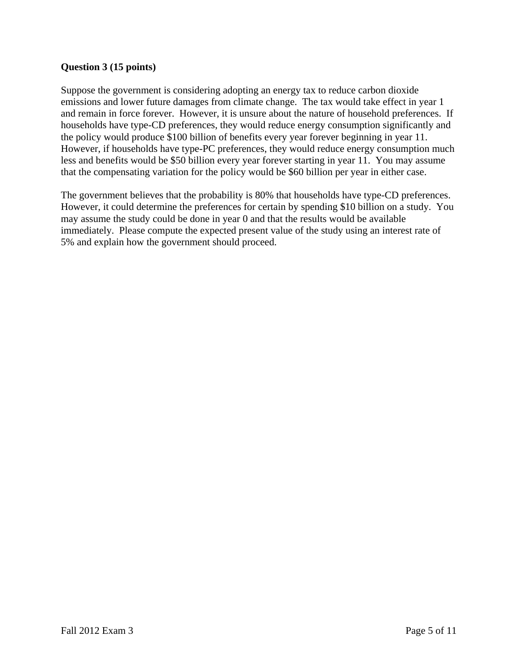#### **Question 3 (15 points)**

Suppose the government is considering adopting an energy tax to reduce carbon dioxide emissions and lower future damages from climate change. The tax would take effect in year 1 and remain in force forever. However, it is unsure about the nature of household preferences. If households have type-CD preferences, they would reduce energy consumption significantly and the policy would produce \$100 billion of benefits every year forever beginning in year 11. However, if households have type-PC preferences, they would reduce energy consumption much less and benefits would be \$50 billion every year forever starting in year 11. You may assume that the compensating variation for the policy would be \$60 billion per year in either case.

The government believes that the probability is 80% that households have type-CD preferences. However, it could determine the preferences for certain by spending \$10 billion on a study. You may assume the study could be done in year 0 and that the results would be available immediately. Please compute the expected present value of the study using an interest rate of 5% and explain how the government should proceed.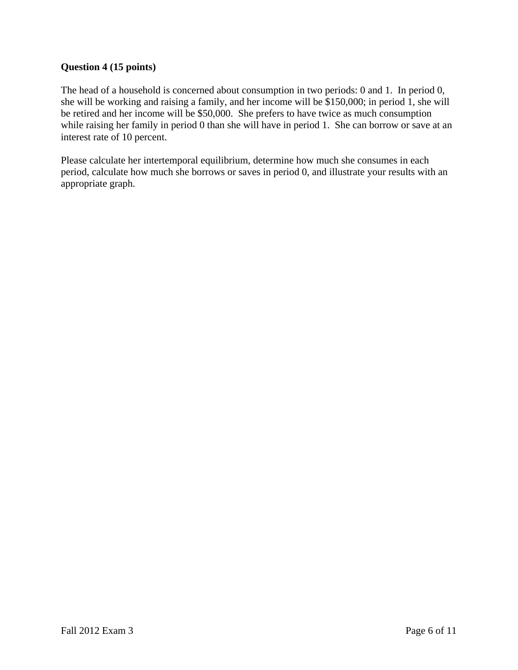# **Question 4 (15 points)**

The head of a household is concerned about consumption in two periods: 0 and 1. In period 0, she will be working and raising a family, and her income will be \$150,000; in period 1, she will be retired and her income will be \$50,000. She prefers to have twice as much consumption while raising her family in period 0 than she will have in period 1. She can borrow or save at an interest rate of 10 percent.

Please calculate her intertemporal equilibrium, determine how much she consumes in each period, calculate how much she borrows or saves in period 0, and illustrate your results with an appropriate graph.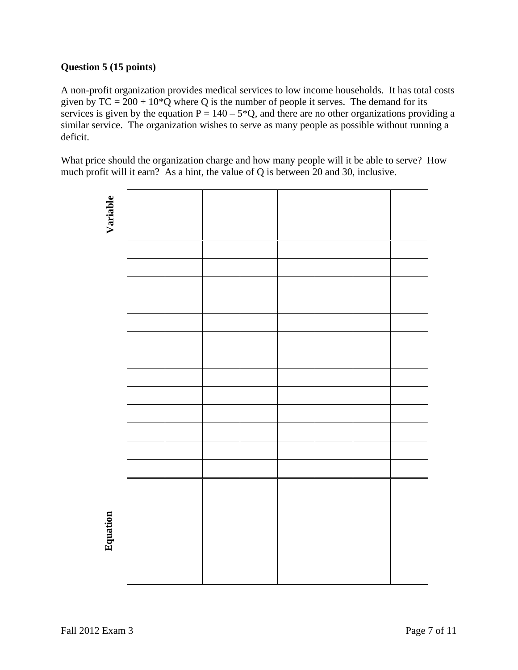# **Question 5 (15 points)**

A non-profit organization provides medical services to low income households. It has total costs given by  $TC = 200 + 10*Q$  where Q is the number of people it serves. The demand for its services is given by the equation  $P = 140 - 5*Q$ , and there are no other organizations providing a similar service. The organization wishes to serve as many people as possible without running a deficit.

What price should the organization charge and how many people will it be able to serve? How much profit will it earn? As a hint, the value of Q is between 20 and 30, inclusive.

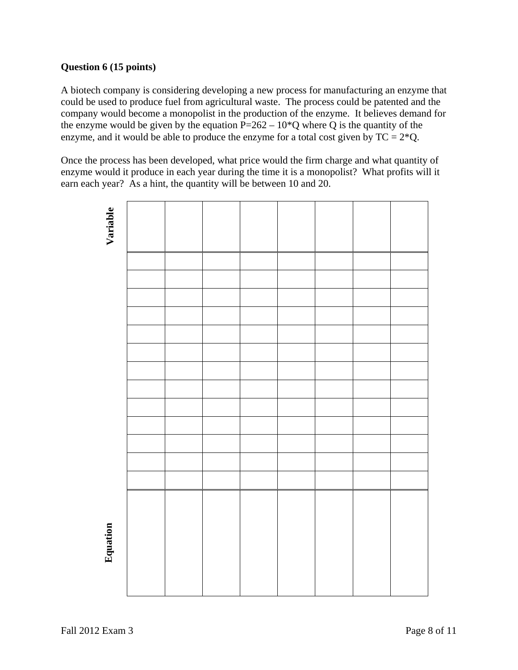#### **Question 6 (15 points)**

A biotech company is considering developing a new process for manufacturing an enzyme that could be used to produce fuel from agricultural waste. The process could be patented and the company would become a monopolist in the production of the enzyme. It believes demand for the enzyme would be given by the equation  $P=262-10*Q$  where Q is the quantity of the enzyme, and it would be able to produce the enzyme for a total cost given by  $TC = 2*Q$ .

Once the process has been developed, what price would the firm charge and what quantity of enzyme would it produce in each year during the time it is a monopolist? What profits will it earn each year? As a hint, the quantity will be between 10 and 20.

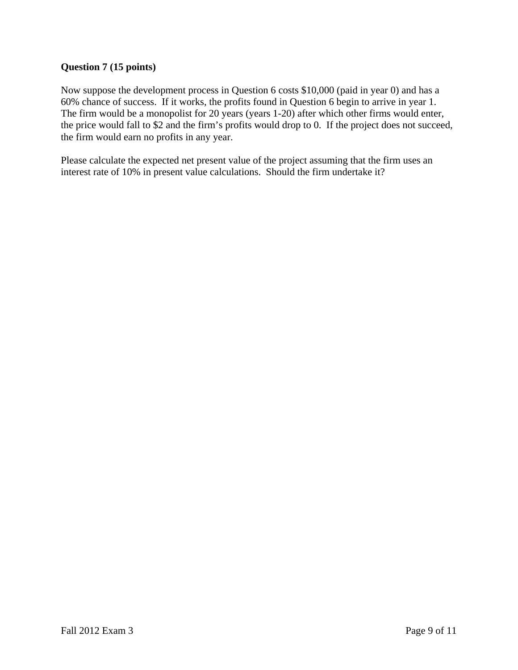### **Question 7 (15 points)**

Now suppose the development process in Question 6 costs \$10,000 (paid in year 0) and has a 60% chance of success. If it works, the profits found in Question 6 begin to arrive in year 1. The firm would be a monopolist for 20 years (years 1-20) after which other firms would enter, the price would fall to \$2 and the firm's profits would drop to 0. If the project does not succeed, the firm would earn no profits in any year.

Please calculate the expected net present value of the project assuming that the firm uses an interest rate of 10% in present value calculations. Should the firm undertake it?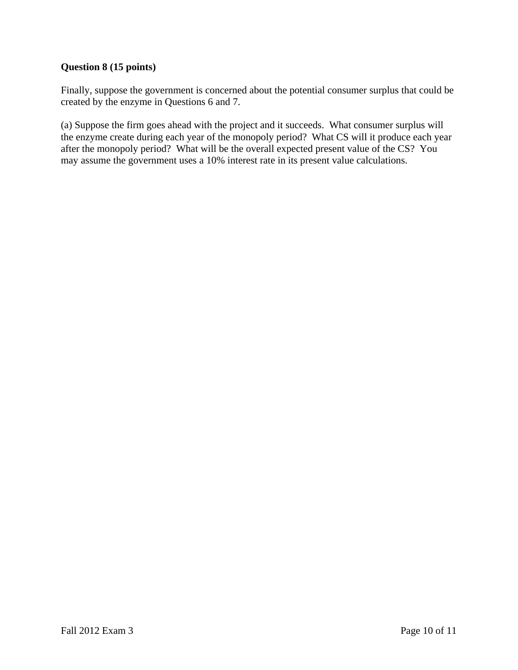# **Question 8 (15 points)**

Finally, suppose the government is concerned about the potential consumer surplus that could be created by the enzyme in Questions 6 and 7.

(a) Suppose the firm goes ahead with the project and it succeeds. What consumer surplus will the enzyme create during each year of the monopoly period? What CS will it produce each year after the monopoly period? What will be the overall expected present value of the CS? You may assume the government uses a 10% interest rate in its present value calculations.